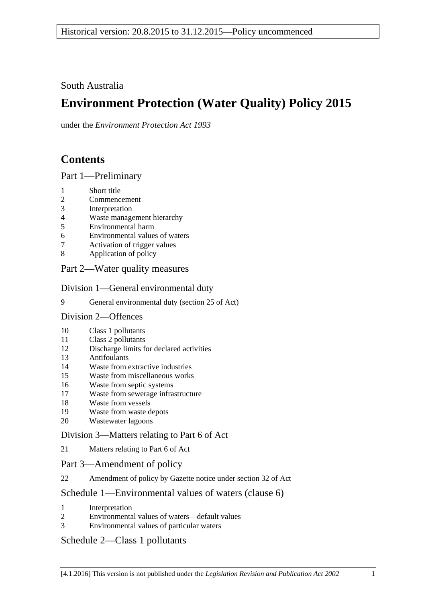South Australia

# **Environment Protection (Water Quality) Policy 2015**

under the *Environment Protection Act 1993*

# **Contents**

Part [1—Preliminary](#page-1-0)

- [Short title](#page-1-1)
- [Commencement](#page-1-2)
- [Interpretation](#page-1-3)
- [Waste management hierarchy](#page-5-0)
- [Environmental harm](#page-5-1)
- [Environmental values of waters](#page-6-0)
- [Activation of trigger values](#page-6-1)
- [Application of policy](#page-7-0)

## Part [2—Water quality measures](#page-8-0)

Division [1—General environmental duty](#page-8-1)

[General environmental duty \(section 25 of Act\)](#page-8-2)

Division [2—Offences](#page-9-0)

- [Class 1 pollutants](#page-9-1)
- [Class 2 pollutants](#page-9-2)
- [Discharge limits for declared activities](#page-10-0)
- [Antifoulants](#page-10-1)
- [Waste from extractive industries](#page-11-0)
- [Waste from miscellaneous works](#page-11-1)
- [Waste from septic systems](#page-12-0)
- [Waste from sewerage infrastructure](#page-13-0)
- [Waste from vessels](#page-13-1)
- [Waste from waste depots](#page-16-0)
- [Wastewater lagoons](#page-16-1)

## Division [3—Matters relating to Part](#page-16-2) 6 of Act

[Matters relating to Part](#page-16-3) 6 of Act

### Part [3—Amendment of policy](#page-17-0)

[Amendment of policy by Gazette notice under section](#page-17-1) 32 of Act

## Schedule [1—Environmental values of waters \(clause](#page-18-0) 6)

- [Interpretation](#page-18-1)
- [Environmental values of waters—default values](#page-18-2)
- [Environmental values of particular waters](#page-18-3)

## Schedule [2—Class 1 pollutants](#page-19-0)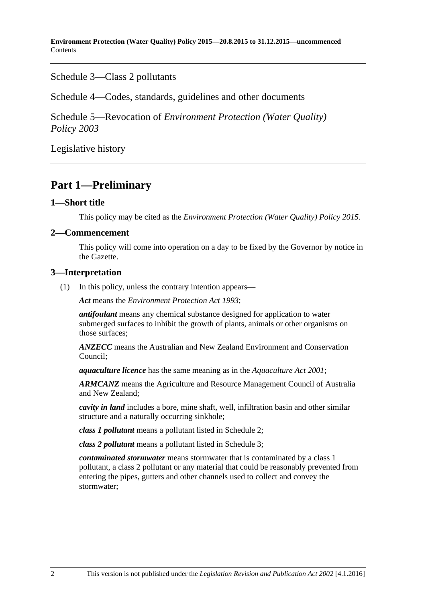**Environment Protection (Water Quality) Policy 2015—20.8.2015 to 31.12.2015—uncommenced Contents** 

Schedule [3—Class 2 pollutants](#page-20-0)

Schedule [4—Codes, standards, guidelines and other documents](#page-21-0)

Schedule 5—Revocation of *[Environment Protection \(Water Quality\)](#page-22-0)  [Policy](#page-22-0) 2003*

[Legislative history](#page-23-0)

## <span id="page-1-0"></span>**Part 1—Preliminary**

#### <span id="page-1-1"></span>**1—Short title**

This policy may be cited as the *[Environment Protection \(Water Quality\) Policy](http://www.legislation.sa.gov.au/index.aspx?action=legref&type=subordleg&legtitle=Environment%20Protection%20(Water%20Quality)%20Policy%202015) 2015*.

#### <span id="page-1-2"></span>**2—Commencement**

This policy will come into operation on a day to be fixed by the Governor by notice in the Gazette.

#### <span id="page-1-3"></span>**3—Interpretation**

(1) In this policy, unless the contrary intention appears—

*Act* means the *[Environment Protection Act](http://www.legislation.sa.gov.au/index.aspx?action=legref&type=act&legtitle=Environment%20Protection%20Act%201993) 1993*;

*antifoulant* means any chemical substance designed for application to water submerged surfaces to inhibit the growth of plants, animals or other organisms on those surfaces;

*ANZECC* means the Australian and New Zealand Environment and Conservation Council;

*aquaculture licence* has the same meaning as in the *[Aquaculture Act](http://www.legislation.sa.gov.au/index.aspx?action=legref&type=act&legtitle=Aquaculture%20Act%202001) 2001*;

*ARMCANZ* means the Agriculture and Resource Management Council of Australia and New Zealand;

*cavity in land* includes a bore, mine shaft, well, infiltration basin and other similar structure and a naturally occurring sinkhole;

*class 1 pollutant* means a pollutant listed in [Schedule](#page-19-0) 2;

*class 2 pollutant* means a pollutant listed in [Schedule](#page-20-0) 3;

*contaminated stormwater* means stormwater that is contaminated by a class 1 pollutant, a class 2 pollutant or any material that could be reasonably prevented from entering the pipes, gutters and other channels used to collect and convey the stormwater;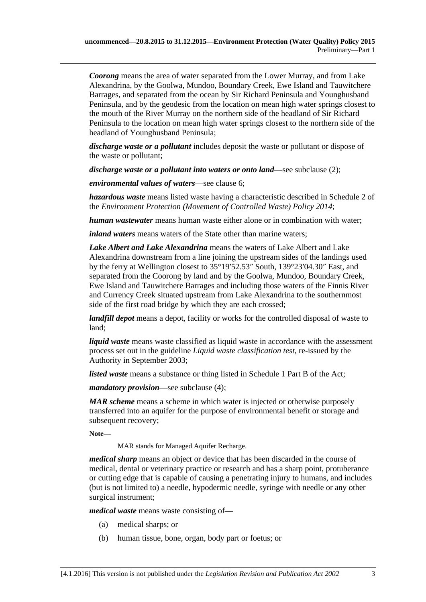*Coorong* means the area of water separated from the Lower Murray, and from Lake Alexandrina, by the Goolwa, Mundoo, Boundary Creek, Ewe Island and Tauwitchere Barrages, and separated from the ocean by Sir Richard Peninsula and Younghusband Peninsula, and by the geodesic from the location on mean high water springs closest to the mouth of the River Murray on the northern side of the headland of Sir Richard Peninsula to the location on mean high water springs closest to the northern side of the headland of Younghusband Peninsula;

*discharge waste or a pollutant* includes deposit the waste or pollutant or dispose of the waste or pollutant;

*discharge waste or a pollutant into waters or onto land—see [subclause](#page-4-0) (2);* 

*environmental values of waters*—see [clause](#page-6-0) 6;

*hazardous waste* means listed waste having a characteristic described in Schedule 2 of the *[Environment Protection \(Movement of Controlled Waste\) Policy](http://www.legislation.sa.gov.au/index.aspx?action=legref&type=subordleg&legtitle=Environment%20Protection%20(Movement%20of%20Controlled%20Waste)%20Policy%202014) 2014*;

*human wastewater* means human waste either alone or in combination with water;

*inland waters* means waters of the State other than marine waters;

*Lake Albert and Lake Alexandrina* means the waters of Lake Albert and Lake Alexandrina downstream from a line joining the upstream sides of the landings used by the ferry at Wellington closest to 35°19′52.53″ South, 139°23′04.30″ East, and separated from the Coorong by land and by the Goolwa, Mundoo, Boundary Creek, Ewe Island and Tauwitchere Barrages and including those waters of the Finnis River and Currency Creek situated upstream from Lake Alexandrina to the southernmost side of the first road bridge by which they are each crossed;

*landfill depot* means a depot, facility or works for the controlled disposal of waste to land;

*liquid waste* means waste classified as liquid waste in accordance with the assessment process set out in the guideline *Liquid waste classification test*, re-issued by the Authority in September 2003;

*listed waste* means a substance or thing listed in Schedule 1 Part B of the Act;

*mandatory provision*—see [subclause](#page-5-2) (4);

*MAR scheme* means a scheme in which water is injected or otherwise purposely transferred into an aquifer for the purpose of environmental benefit or storage and subsequent recovery;

**Note—**

MAR stands for Managed Aquifer Recharge.

*medical sharp* means an object or device that has been discarded in the course of medical, dental or veterinary practice or research and has a sharp point, protuberance or cutting edge that is capable of causing a penetrating injury to humans, and includes (but is not limited to) a needle, hypodermic needle, syringe with needle or any other surgical instrument;

*medical waste* means waste consisting of—

- (a) medical sharps; or
- (b) human tissue, bone, organ, body part or foetus; or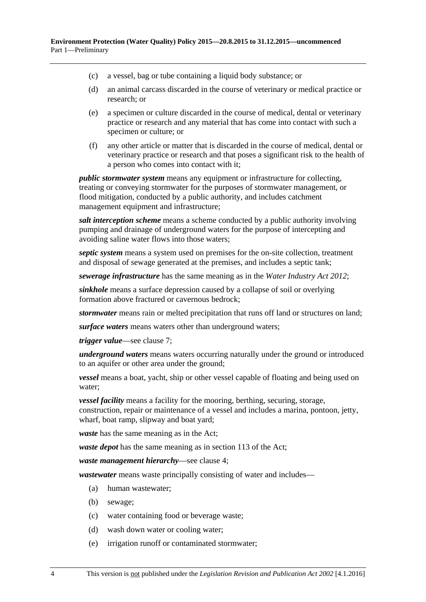- (c) a vessel, bag or tube containing a liquid body substance; or
- (d) an animal carcass discarded in the course of veterinary or medical practice or research; or
- (e) a specimen or culture discarded in the course of medical, dental or veterinary practice or research and any material that has come into contact with such a specimen or culture; or
- (f) any other article or matter that is discarded in the course of medical, dental or veterinary practice or research and that poses a significant risk to the health of a person who comes into contact with it;

*public stormwater system* means any equipment or infrastructure for collecting, treating or conveying stormwater for the purposes of stormwater management, or flood mitigation, conducted by a public authority, and includes catchment management equipment and infrastructure;

*salt interception scheme* means a scheme conducted by a public authority involving pumping and drainage of underground waters for the purpose of intercepting and avoiding saline water flows into those waters;

*septic system* means a system used on premises for the on-site collection, treatment and disposal of sewage generated at the premises, and includes a septic tank;

*sewerage infrastructure* has the same meaning as in the *[Water Industry Act](http://www.legislation.sa.gov.au/index.aspx?action=legref&type=act&legtitle=Water%20Industry%20Act%202012) 2012*;

*sinkhole* means a surface depression caused by a collapse of soil or overlying formation above fractured or cavernous bedrock;

*stormwater* means rain or melted precipitation that runs off land or structures on land;

*surface waters* means waters other than underground waters;

*trigger value*—see [clause](#page-6-1) 7;

*underground waters* means waters occurring naturally under the ground or introduced to an aquifer or other area under the ground;

*vessel* means a boat, yacht, ship or other vessel capable of floating and being used on water;

*vessel facility* means a facility for the mooring, berthing, securing, storage, construction, repair or maintenance of a vessel and includes a marina, pontoon, jetty, wharf, boat ramp, slipway and boat yard;

*waste* has the same meaning as in the Act;

*waste depot* has the same meaning as in section 113 of the Act;

*waste management hierarchy*—see [clause](#page-5-0) 4;

*wastewater* means waste principally consisting of water and includes—

- (a) human wastewater;
- (b) sewage;
- (c) water containing food or beverage waste;
- (d) wash down water or cooling water;
- (e) irrigation runoff or contaminated stormwater;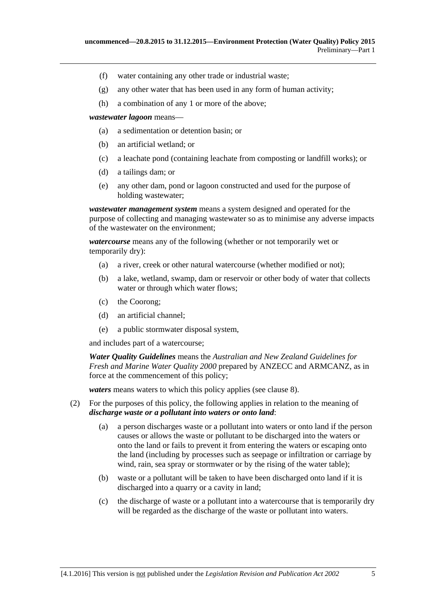- (f) water containing any other trade or industrial waste;
- (g) any other water that has been used in any form of human activity;
- (h) a combination of any 1 or more of the above;

*wastewater lagoon* means—

- (a) a sedimentation or detention basin; or
- (b) an artificial wetland; or
- (c) a leachate pond (containing leachate from composting or landfill works); or
- (d) a tailings dam; or
- (e) any other dam, pond or lagoon constructed and used for the purpose of holding wastewater;

*wastewater management system* means a system designed and operated for the purpose of collecting and managing wastewater so as to minimise any adverse impacts of the wastewater on the environment;

*watercourse* means any of the following (whether or not temporarily wet or temporarily dry):

- (a) a river, creek or other natural watercourse (whether modified or not);
- (b) a lake, wetland, swamp, dam or reservoir or other body of water that collects water or through which water flows;
- (c) the Coorong;
- (d) an artificial channel;
- (e) a public stormwater disposal system,

and includes part of a watercourse;

*Water Quality Guidelines* means the *Australian and New Zealand Guidelines for Fresh and Marine Water Quality 2000* prepared by ANZECC and ARMCANZ, as in force at the commencement of this policy;

*waters* means waters to which this policy applies (see [clause](#page-7-0) 8).

- <span id="page-4-0"></span>(2) For the purposes of this policy, the following applies in relation to the meaning of *discharge waste or a pollutant into waters or onto land*:
	- (a) a person discharges waste or a pollutant into waters or onto land if the person causes or allows the waste or pollutant to be discharged into the waters or onto the land or fails to prevent it from entering the waters or escaping onto the land (including by processes such as seepage or infiltration or carriage by wind, rain, sea spray or stormwater or by the rising of the water table);
	- (b) waste or a pollutant will be taken to have been discharged onto land if it is discharged into a quarry or a cavity in land;
	- (c) the discharge of waste or a pollutant into a watercourse that is temporarily dry will be regarded as the discharge of the waste or pollutant into waters.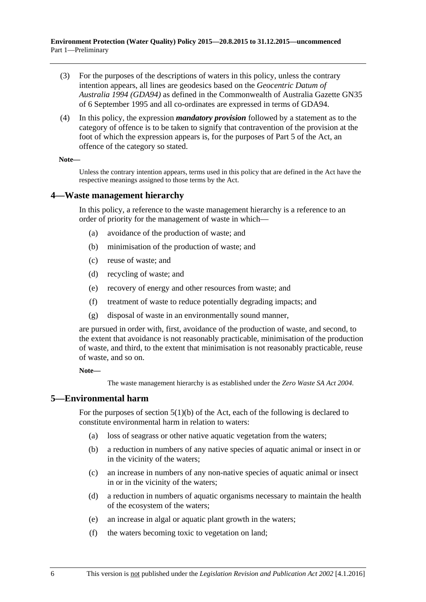- (3) For the purposes of the descriptions of waters in this policy, unless the contrary intention appears, all lines are geodesics based on the *Geocentric Datum of Australia 1994 (GDA94)* as defined in the Commonwealth of Australia Gazette GN35 of 6 September 1995 and all co-ordinates are expressed in terms of GDA94.
- <span id="page-5-2"></span>(4) In this policy, the expression *mandatory provision* followed by a statement as to the category of offence is to be taken to signify that contravention of the provision at the foot of which the expression appears is, for the purposes of Part 5 of the Act, an offence of the category so stated.

#### **Note—**

Unless the contrary intention appears, terms used in this policy that are defined in the Act have the respective meanings assigned to those terms by the Act.

#### <span id="page-5-0"></span>**4—Waste management hierarchy**

In this policy, a reference to the waste management hierarchy is a reference to an order of priority for the management of waste in which—

- (a) avoidance of the production of waste; and
- (b) minimisation of the production of waste; and
- (c) reuse of waste; and
- (d) recycling of waste; and
- (e) recovery of energy and other resources from waste; and
- (f) treatment of waste to reduce potentially degrading impacts; and
- (g) disposal of waste in an environmentally sound manner,

are pursued in order with, first, avoidance of the production of waste, and second, to the extent that avoidance is not reasonably practicable, minimisation of the production of waste, and third, to the extent that minimisation is not reasonably practicable, reuse of waste, and so on.

**Note—**

The waste management hierarchy is as established under the *[Zero Waste SA Act](http://www.legislation.sa.gov.au/index.aspx?action=legref&type=act&legtitle=Zero%20Waste%20SA%20Act%202004) 2004*.

#### <span id="page-5-1"></span>**5—Environmental harm**

For the purposes of section  $5(1)(b)$  of the Act, each of the following is declared to constitute environmental harm in relation to waters:

- (a) loss of seagrass or other native aquatic vegetation from the waters;
- (b) a reduction in numbers of any native species of aquatic animal or insect in or in the vicinity of the waters;
- (c) an increase in numbers of any non-native species of aquatic animal or insect in or in the vicinity of the waters;
- (d) a reduction in numbers of aquatic organisms necessary to maintain the health of the ecosystem of the waters;
- (e) an increase in algal or aquatic plant growth in the waters;
- (f) the waters becoming toxic to vegetation on land;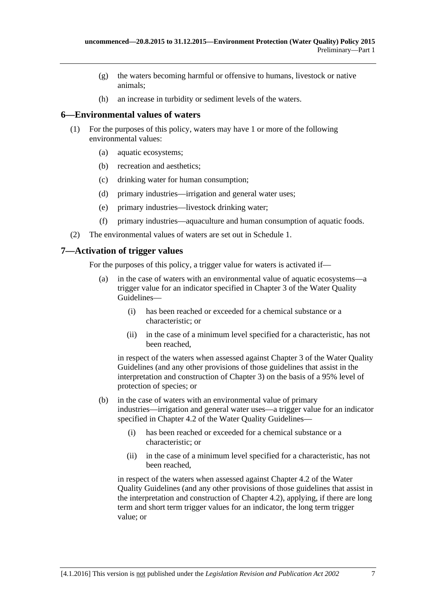- (g) the waters becoming harmful or offensive to humans, livestock or native animals;
- (h) an increase in turbidity or sediment levels of the waters.

### <span id="page-6-0"></span>**6—Environmental values of waters**

- (1) For the purposes of this policy, waters may have 1 or more of the following environmental values:
	- (a) aquatic ecosystems;
	- (b) recreation and aesthetics;
	- (c) drinking water for human consumption;
	- (d) primary industries—irrigation and general water uses;
	- (e) primary industries—livestock drinking water;
	- (f) primary industries—aquaculture and human consumption of aquatic foods.
- (2) The environmental values of waters are set out in [Schedule](#page-18-0) 1.

## <span id="page-6-1"></span>**7—Activation of trigger values**

For the purposes of this policy, a trigger value for waters is activated if—

- (a) in the case of waters with an environmental value of aquatic ecosystems—a trigger value for an indicator specified in Chapter 3 of the Water Quality Guidelines—
	- (i) has been reached or exceeded for a chemical substance or a characteristic; or
	- (ii) in the case of a minimum level specified for a characteristic, has not been reached,

in respect of the waters when assessed against Chapter 3 of the Water Quality Guidelines (and any other provisions of those guidelines that assist in the interpretation and construction of Chapter 3) on the basis of a 95% level of protection of species; or

- (b) in the case of waters with an environmental value of primary industries—irrigation and general water uses—a trigger value for an indicator specified in Chapter 4.2 of the Water Ouality Guidelines—
	- (i) has been reached or exceeded for a chemical substance or a characteristic; or
	- (ii) in the case of a minimum level specified for a characteristic, has not been reached,

in respect of the waters when assessed against Chapter 4.2 of the Water Quality Guidelines (and any other provisions of those guidelines that assist in the interpretation and construction of Chapter 4.2), applying, if there are long term and short term trigger values for an indicator, the long term trigger value; or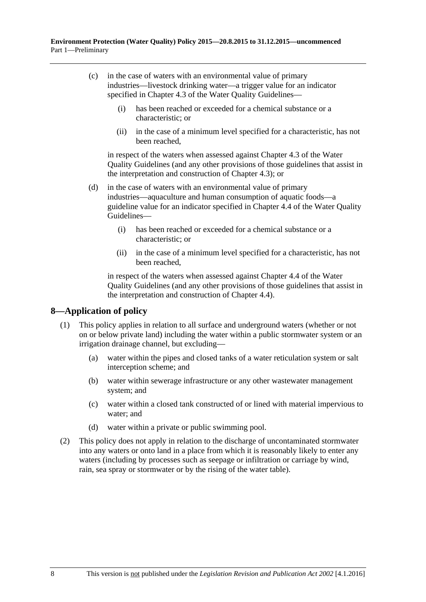- (c) in the case of waters with an environmental value of primary industries—livestock drinking water—a trigger value for an indicator specified in Chapter 4.3 of the Water Quality Guidelines—
	- (i) has been reached or exceeded for a chemical substance or a characteristic; or
	- (ii) in the case of a minimum level specified for a characteristic, has not been reached,

in respect of the waters when assessed against Chapter 4.3 of the Water Quality Guidelines (and any other provisions of those guidelines that assist in the interpretation and construction of Chapter 4.3); or

- (d) in the case of waters with an environmental value of primary industries—aquaculture and human consumption of aquatic foods—a guideline value for an indicator specified in Chapter 4.4 of the Water Quality Guidelines—
	- (i) has been reached or exceeded for a chemical substance or a characteristic; or
	- (ii) in the case of a minimum level specified for a characteristic, has not been reached,

in respect of the waters when assessed against Chapter 4.4 of the Water Quality Guidelines (and any other provisions of those guidelines that assist in the interpretation and construction of Chapter 4.4).

## <span id="page-7-0"></span>**8—Application of policy**

- (1) This policy applies in relation to all surface and underground waters (whether or not on or below private land) including the water within a public stormwater system or an irrigation drainage channel, but excluding—
	- (a) water within the pipes and closed tanks of a water reticulation system or salt interception scheme; and
	- (b) water within sewerage infrastructure or any other wastewater management system; and
	- (c) water within a closed tank constructed of or lined with material impervious to water; and
	- (d) water within a private or public swimming pool.
- (2) This policy does not apply in relation to the discharge of uncontaminated stormwater into any waters or onto land in a place from which it is reasonably likely to enter any waters (including by processes such as seepage or infiltration or carriage by wind, rain, sea spray or stormwater or by the rising of the water table).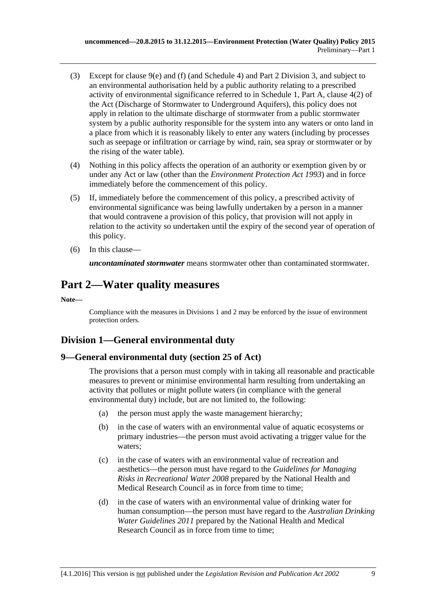- (3) Except for [clause](#page-9-3) 9(e) and [\(f\)](#page-9-4) (and [Schedule](#page-21-0) 4) and Part [2 Division](#page-16-2) 3, and subject to an environmental authorisation held by a public authority relating to a prescribed activity of environmental significance referred to in Schedule 1, Part A, clause 4(2) of the Act (Discharge of Stormwater to Underground Aquifers), this policy does not apply in relation to the ultimate discharge of stormwater from a public stormwater system by a public authority responsible for the system into any waters or onto land in a place from which it is reasonably likely to enter any waters (including by processes such as seepage or infiltration or carriage by wind, rain, sea spray or stormwater or by the rising of the water table).
- (4) Nothing in this policy affects the operation of an authority or exemption given by or under any Act or law (other than the *[Environment Protection Act](http://www.legislation.sa.gov.au/index.aspx?action=legref&type=act&legtitle=Environment%20Protection%20Act%201993) 1993*) and in force immediately before the commencement of this policy.
- (5) If, immediately before the commencement of this policy, a prescribed activity of environmental significance was being lawfully undertaken by a person in a manner that would contravene a provision of this policy, that provision will not apply in relation to the activity so undertaken until the expiry of the second year of operation of this policy.
- (6) In this clause—

*uncontaminated stormwater* means stormwater other than contaminated stormwater.

## <span id="page-8-0"></span>**Part 2—Water quality measures**

**Note—**

Compliance with the measures i[n Divisions](#page-8-1) 1 and 2 may be enforced by the issue of environment protection orders.

## <span id="page-8-1"></span>**Division 1—General environmental duty**

## <span id="page-8-2"></span>**9—General environmental duty (section 25 of Act)**

The provisions that a person must comply with in taking all reasonable and practicable measures to prevent or minimise environmental harm resulting from undertaking an activity that pollutes or might pollute waters (in compliance with the general environmental duty) include, but are not limited to, the following:

- (a) the person must apply the waste management hierarchy;
- (b) in the case of waters with an environmental value of aquatic ecosystems or primary industries—the person must avoid activating a trigger value for the waters;
- (c) in the case of waters with an environmental value of recreation and aesthetics—the person must have regard to the *Guidelines for Managing Risks in Recreational Water 2008* prepared by the National Health and Medical Research Council as in force from time to time;
- (d) in the case of waters with an environmental value of drinking water for human consumption—the person must have regard to the *Australian Drinking Water Guidelines 2011* prepared by the National Health and Medical Research Council as in force from time to time;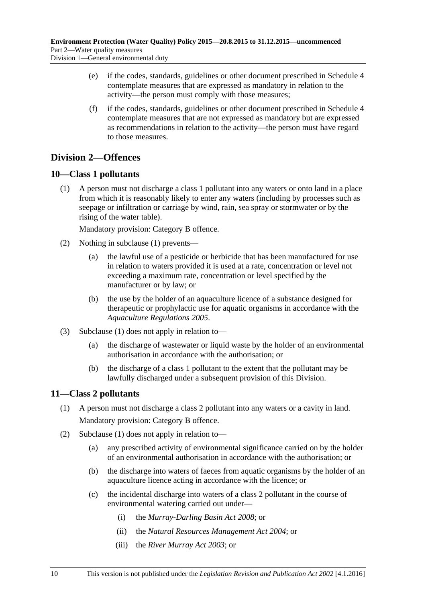- <span id="page-9-3"></span>(e) if the codes, standards, guidelines or other document prescribed in [Schedule](#page-21-0) 4 contemplate measures that are expressed as mandatory in relation to the activity—the person must comply with those measures;
- <span id="page-9-4"></span>(f) if the codes, standards, guidelines or other document prescribed in [Schedule](#page-21-0) 4 contemplate measures that are not expressed as mandatory but are expressed as recommendations in relation to the activity—the person must have regard to those measures.

## <span id="page-9-0"></span>**Division 2—Offences**

## <span id="page-9-5"></span><span id="page-9-1"></span>**10—Class 1 pollutants**

(1) A person must not discharge a class 1 pollutant into any waters or onto land in a place from which it is reasonably likely to enter any waters (including by processes such as seepage or infiltration or carriage by wind, rain, sea spray or stormwater or by the rising of the water table).

Mandatory provision: Category B offence.

- (2) Nothing in [subclause](#page-9-5) (1) prevents—
	- (a) the lawful use of a pesticide or herbicide that has been manufactured for use in relation to waters provided it is used at a rate, concentration or level not exceeding a maximum rate, concentration or level specified by the manufacturer or by law; or
	- (b) the use by the holder of an aquaculture licence of a substance designed for therapeutic or prophylactic use for aquatic organisms in accordance with the *[Aquaculture Regulations](http://www.legislation.sa.gov.au/index.aspx?action=legref&type=subordleg&legtitle=Aquaculture%20Regulations%202005) 2005*.
- (3) [Subclause](#page-9-5) (1) does not apply in relation to—
	- (a) the discharge of wastewater or liquid waste by the holder of an environmental authorisation in accordance with the authorisation; or
	- (b) the discharge of a class 1 pollutant to the extent that the pollutant may be lawfully discharged under a subsequent provision of this Division.

### <span id="page-9-6"></span><span id="page-9-2"></span>**11—Class 2 pollutants**

- (1) A person must not discharge a class 2 pollutant into any waters or a cavity in land. Mandatory provision: Category B offence.
- (2) [Subclause](#page-9-6) (1) does not apply in relation to—
	- (a) any prescribed activity of environmental significance carried on by the holder of an environmental authorisation in accordance with the authorisation; or
	- (b) the discharge into waters of faeces from aquatic organisms by the holder of an aquaculture licence acting in accordance with the licence; or
	- (c) the incidental discharge into waters of a class 2 pollutant in the course of environmental watering carried out under—
		- (i) the *[Murray-Darling Basin Act](http://www.legislation.sa.gov.au/index.aspx?action=legref&type=act&legtitle=Murray-Darling%20Basin%20Act%202008) 2008*; or
		- (ii) the *[Natural Resources Management Act](http://www.legislation.sa.gov.au/index.aspx?action=legref&type=act&legtitle=Natural%20Resources%20Management%20Act%202004) 2004*; or
		- (iii) the *[River Murray Act](http://www.legislation.sa.gov.au/index.aspx?action=legref&type=act&legtitle=River%20Murray%20Act%202003) 2003*; or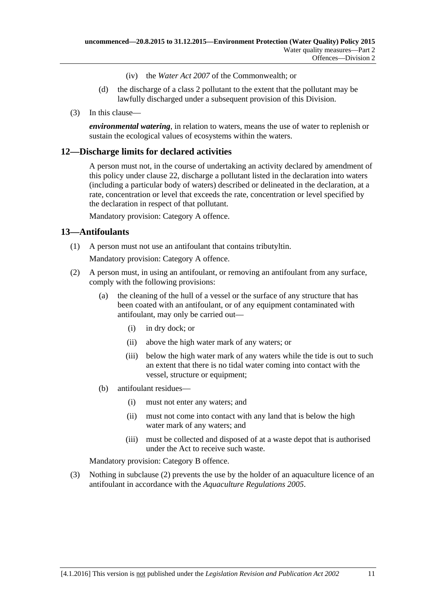- (iv) the *Water Act 2007* of the Commonwealth; or
- (d) the discharge of a class 2 pollutant to the extent that the pollutant may be lawfully discharged under a subsequent provision of this Division.
- (3) In this clause—

*environmental watering*, in relation to waters, means the use of water to replenish or sustain the ecological values of ecosystems within the waters.

### <span id="page-10-0"></span>**12—Discharge limits for declared activities**

A person must not, in the course of undertaking an activity declared by amendment of this policy under [clause](#page-17-1) 22, discharge a pollutant listed in the declaration into waters (including a particular body of waters) described or delineated in the declaration, at a rate, concentration or level that exceeds the rate, concentration or level specified by the declaration in respect of that pollutant.

Mandatory provision: Category A offence.

#### <span id="page-10-1"></span>**13—Antifoulants**

(1) A person must not use an antifoulant that contains tributyltin.

Mandatory provision: Category A offence.

- <span id="page-10-2"></span>(2) A person must, in using an antifoulant, or removing an antifoulant from any surface, comply with the following provisions:
	- (a) the cleaning of the hull of a vessel or the surface of any structure that has been coated with an antifoulant, or of any equipment contaminated with antifoulant, may only be carried out—
		- (i) in dry dock; or
		- (ii) above the high water mark of any waters; or
		- (iii) below the high water mark of any waters while the tide is out to such an extent that there is no tidal water coming into contact with the vessel, structure or equipment;
	- (b) antifoulant residues—
		- (i) must not enter any waters; and
		- (ii) must not come into contact with any land that is below the high water mark of any waters; and
		- (iii) must be collected and disposed of at a waste depot that is authorised under the Act to receive such waste.

Mandatory provision: Category B offence.

(3) Nothing in [subclause](#page-10-2) (2) prevents the use by the holder of an aquaculture licence of an antifoulant in accordance with the *[Aquaculture Regulations](http://www.legislation.sa.gov.au/index.aspx?action=legref&type=subordleg&legtitle=Aquaculture%20Regulations%202005) 2005*.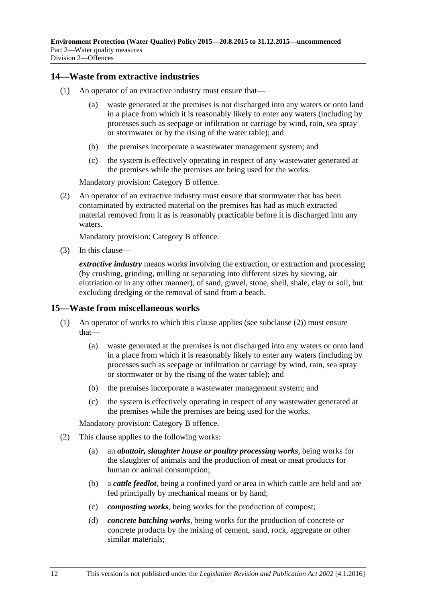### <span id="page-11-0"></span>**14—Waste from extractive industries**

- (1) An operator of an extractive industry must ensure that—
	- (a) waste generated at the premises is not discharged into any waters or onto land in a place from which it is reasonably likely to enter any waters (including by processes such as seepage or infiltration or carriage by wind, rain, sea spray or stormwater or by the rising of the water table); and
	- (b) the premises incorporate a wastewater management system; and
	- (c) the system is effectively operating in respect of any wastewater generated at the premises while the premises are being used for the works.

Mandatory provision: Category B offence.

(2) An operator of an extractive industry must ensure that stormwater that has been contaminated by extracted material on the premises has had as much extracted material removed from it as is reasonably practicable before it is discharged into any waters.

Mandatory provision: Category B offence.

(3) In this clause—

*extractive industry* means works involving the extraction, or extraction and processing (by crushing, grinding, milling or separating into different sizes by sieving, air elutriation or in any other manner), of sand, gravel, stone, shell, shale, clay or soil, but excluding dredging or the removal of sand from a beach.

#### <span id="page-11-1"></span>**15—Waste from miscellaneous works**

- (1) An operator of works to which this clause applies (see [subclause](#page-11-2) (2)) must ensure that—
	- (a) waste generated at the premises is not discharged into any waters or onto land in a place from which it is reasonably likely to enter any waters (including by processes such as seepage or infiltration or carriage by wind, rain, sea spray or stormwater or by the rising of the water table); and
	- (b) the premises incorporate a wastewater management system; and
	- (c) the system is effectively operating in respect of any wastewater generated at the premises while the premises are being used for the works.

Mandatory provision: Category B offence.

- <span id="page-11-2"></span>(2) This clause applies to the following works:
	- (a) an *abattoir, slaughter house or poultry processing works*, being works for the slaughter of animals and the production of meat or meat products for human or animal consumption;
	- (b) a *cattle feedlot*, being a confined yard or area in which cattle are held and are fed principally by mechanical means or by hand;
	- (c) *composting works*, being works for the production of compost;
	- (d) *concrete batching works*, being works for the production of concrete or concrete products by the mixing of cement, sand, rock, aggregate or other similar materials;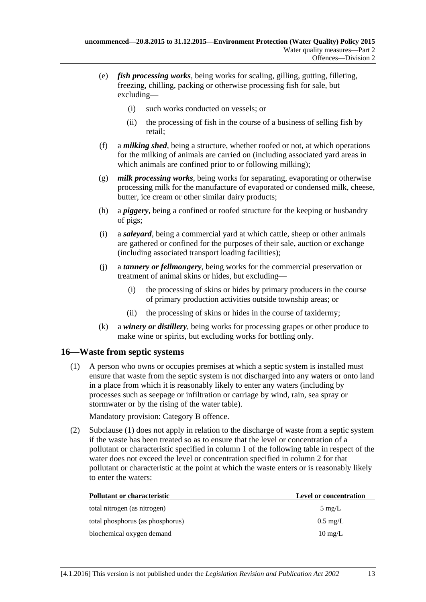- (e) *fish processing works*, being works for scaling, gilling, gutting, filleting, freezing, chilling, packing or otherwise processing fish for sale, but excluding—
	- (i) such works conducted on vessels; or
	- (ii) the processing of fish in the course of a business of selling fish by retail;
- (f) a *milking shed*, being a structure, whether roofed or not, at which operations for the milking of animals are carried on (including associated yard areas in which animals are confined prior to or following milking);
- (g) *milk processing works*, being works for separating, evaporating or otherwise processing milk for the manufacture of evaporated or condensed milk, cheese, butter, ice cream or other similar dairy products;
- (h) a *piggery*, being a confined or roofed structure for the keeping or husbandry of pigs;
- (i) a *saleyard*, being a commercial yard at which cattle, sheep or other animals are gathered or confined for the purposes of their sale, auction or exchange (including associated transport loading facilities);
- (j) a *tannery or fellmongery*, being works for the commercial preservation or treatment of animal skins or hides, but excluding—
	- (i) the processing of skins or hides by primary producers in the course of primary production activities outside township areas; or
	- (ii) the processing of skins or hides in the course of taxidermy;
- (k) a *winery or distillery*, being works for processing grapes or other produce to make wine or spirits, but excluding works for bottling only.

### <span id="page-12-1"></span><span id="page-12-0"></span>**16—Waste from septic systems**

(1) A person who owns or occupies premises at which a septic system is installed must ensure that waste from the septic system is not discharged into any waters or onto land in a place from which it is reasonably likely to enter any waters (including by processes such as seepage or infiltration or carriage by wind, rain, sea spray or stormwater or by the rising of the water table).

Mandatory provision: Category B offence.

(2) [Subclause](#page-12-1) (1) does not apply in relation to the discharge of waste from a septic system if the waste has been treated so as to ensure that the level or concentration of a pollutant or characteristic specified in column 1 of the following table in respect of the water does not exceed the level or concentration specified in column 2 for that pollutant or characteristic at the point at which the waste enters or is reasonably likely to enter the waters:

| <b>Pollutant or characteristic</b> | Level or concentration |
|------------------------------------|------------------------|
| total nitrogen (as nitrogen)       | $5 \text{ mg/L}$       |
| total phosphorus (as phosphorus)   | $0.5 \text{ mg/L}$     |
| biochemical oxygen demand          | $10 \text{ mg/L}$      |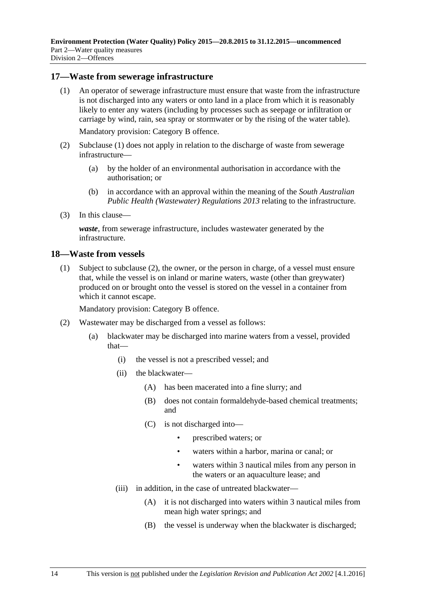#### <span id="page-13-2"></span><span id="page-13-0"></span>**17—Waste from sewerage infrastructure**

(1) An operator of sewerage infrastructure must ensure that waste from the infrastructure is not discharged into any waters or onto land in a place from which it is reasonably likely to enter any waters (including by processes such as seepage or infiltration or carriage by wind, rain, sea spray or stormwater or by the rising of the water table).

Mandatory provision: Category B offence.

- (2) [Subclause](#page-13-2) (1) does not apply in relation to the discharge of waste from sewerage infrastructure—
	- (a) by the holder of an environmental authorisation in accordance with the authorisation; or
	- (b) in accordance with an approval within the meaning of the *[South Australian](http://www.legislation.sa.gov.au/index.aspx?action=legref&type=subordleg&legtitle=South%20Australian%20Public%20Health%20(Wastewater)%20Regulations%202013)  [Public Health \(Wastewater\) Regulations](http://www.legislation.sa.gov.au/index.aspx?action=legref&type=subordleg&legtitle=South%20Australian%20Public%20Health%20(Wastewater)%20Regulations%202013) 2013* relating to the infrastructure.
- (3) In this clause—

*waste*, from sewerage infrastructure, includes wastewater generated by the infrastructure.

#### <span id="page-13-4"></span><span id="page-13-1"></span>**18—Waste from vessels**

(1) Subject to [subclause](#page-13-3) (2), the owner, or the person in charge, of a vessel must ensure that, while the vessel is on inland or marine waters, waste (other than greywater) produced on or brought onto the vessel is stored on the vessel in a container from which it cannot escape.

Mandatory provision: Category B offence.

- <span id="page-13-3"></span>(2) Wastewater may be discharged from a vessel as follows:
	- (a) blackwater may be discharged into marine waters from a vessel, provided that—
		- (i) the vessel is not a prescribed vessel; and
		- (ii) the blackwater—
			- (A) has been macerated into a fine slurry; and
			- (B) does not contain formaldehyde-based chemical treatments; and
			- (C) is not discharged into—
				- prescribed waters; or
				- waters within a harbor, marina or canal; or
				- waters within 3 nautical miles from any person in the waters or an aquaculture lease; and
		- (iii) in addition, in the case of untreated blackwater—
			- (A) it is not discharged into waters within 3 nautical miles from mean high water springs; and
			- (B) the vessel is underway when the blackwater is discharged;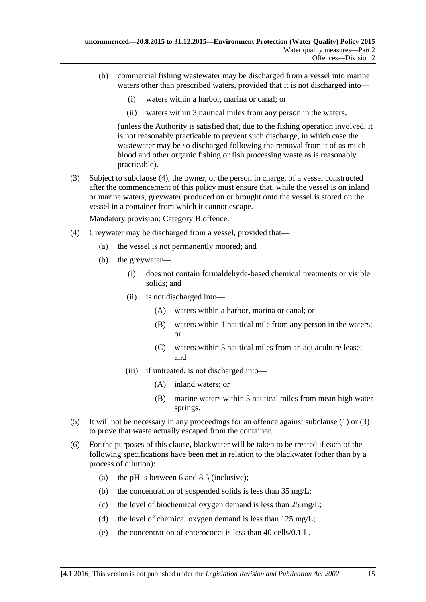- (b) commercial fishing wastewater may be discharged from a vessel into marine waters other than prescribed waters, provided that it is not discharged into—
	- (i) waters within a harbor, marina or canal; or
	- (ii) waters within 3 nautical miles from any person in the waters,

(unless the Authority is satisfied that, due to the fishing operation involved, it is not reasonably practicable to prevent such discharge, in which case the wastewater may be so discharged following the removal from it of as much blood and other organic fishing or fish processing waste as is reasonably practicable).

<span id="page-14-1"></span>(3) Subject to [subclause](#page-14-0) (4), the owner, or the person in charge, of a vessel constructed after the commencement of this policy must ensure that, while the vessel is on inland or marine waters, greywater produced on or brought onto the vessel is stored on the vessel in a container from which it cannot escape.

Mandatory provision: Category B offence.

- <span id="page-14-0"></span>(4) Greywater may be discharged from a vessel, provided that—
	- (a) the vessel is not permanently moored; and
	- (b) the greywater—
		- (i) does not contain formaldehyde-based chemical treatments or visible solids; and
		- (ii) is not discharged into—
			- (A) waters within a harbor, marina or canal; or
			- (B) waters within 1 nautical mile from any person in the waters; or
			- (C) waters within 3 nautical miles from an aquaculture lease; and
		- (iii) if untreated, is not discharged into—
			- (A) inland waters; or
			- (B) marine waters within 3 nautical miles from mean high water springs.
- (5) It will not be necessary in any proceedings for an offence against [subclause](#page-13-4) (1) or [\(3\)](#page-14-1) to prove that waste actually escaped from the container.
- <span id="page-14-2"></span>(6) For the purposes of this clause, blackwater will be taken to be treated if each of the following specifications have been met in relation to the blackwater (other than by a process of dilution):
	- (a) the pH is between 6 and 8.5 (inclusive);
	- (b) the concentration of suspended solids is less than 35 mg/L;
	- (c) the level of biochemical oxygen demand is less than 25 mg/L;
	- (d) the level of chemical oxygen demand is less than 125 mg/L;
	- (e) the concentration of enterococci is less than 40 cells/0.1 L.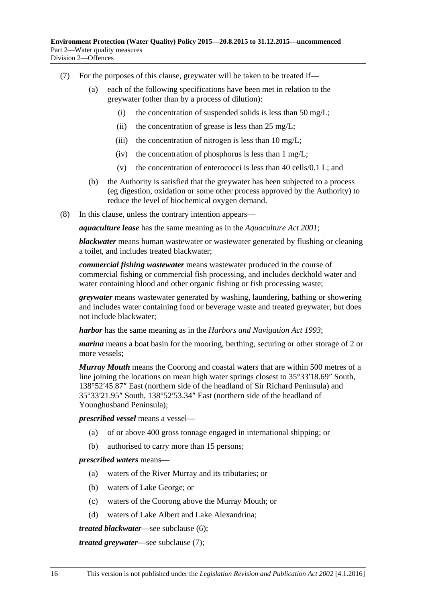- <span id="page-15-0"></span>(7) For the purposes of this clause, greywater will be taken to be treated if—
	- (a) each of the following specifications have been met in relation to the greywater (other than by a process of dilution):
		- (i) the concentration of suspended solids is less than 50 mg/L;
		- (ii) the concentration of grease is less than  $25 \text{ mg/L}$ ;
		- (iii) the concentration of nitrogen is less than  $10 \text{ mg/L}$ ;
		- (iv) the concentration of phosphorus is less than  $1 \text{ mg/L}$ ;
		- (v) the concentration of enterococci is less than 40 cells/0.1 L; and
	- (b) the Authority is satisfied that the greywater has been subjected to a process (eg digestion, oxidation or some other process approved by the Authority) to reduce the level of biochemical oxygen demand.
- (8) In this clause, unless the contrary intention appears—

*aquaculture lease* has the same meaning as in the *[Aquaculture Act](http://www.legislation.sa.gov.au/index.aspx?action=legref&type=act&legtitle=Aquaculture%20Act%202001) 2001*;

*blackwater* means human wastewater or wastewater generated by flushing or cleaning a toilet, and includes treated blackwater;

*commercial fishing wastewater* means wastewater produced in the course of commercial fishing or commercial fish processing, and includes deckhold water and water containing blood and other organic fishing or fish processing waste;

*greywater* means wastewater generated by washing, laundering, bathing or showering and includes water containing food or beverage waste and treated greywater, but does not include blackwater;

*harbor* has the same meaning as in the *[Harbors and Navigation Act](http://www.legislation.sa.gov.au/index.aspx?action=legref&type=act&legtitle=Harbors%20and%20Navigation%20Act%201993) 1993*;

*marina* means a boat basin for the mooring, berthing, securing or other storage of 2 or more vessels;

*Murray Mouth* means the Coorong and coastal waters that are within 500 metres of a line joining the locations on mean high water springs closest to 35°33′18.69″ South, 138°52′45.87″ East (northern side of the headland of Sir Richard Peninsula) and 35°33′21.95″ South, 138°52′53.34″ East (northern side of the headland of Younghusband Peninsula);

*prescribed vessel* means a vessel—

- (a) of or above 400 gross tonnage engaged in international shipping; or
- (b) authorised to carry more than 15 persons;

#### *prescribed waters* means—

- (a) waters of the River Murray and its tributaries; or
- (b) waters of Lake George; or
- (c) waters of the Coorong above the Murray Mouth; or
- (d) waters of Lake Albert and Lake Alexandrina;

*treated blackwater*—see [subclause](#page-14-2) (6);

*treated greywater*—see [subclause](#page-15-0) (7);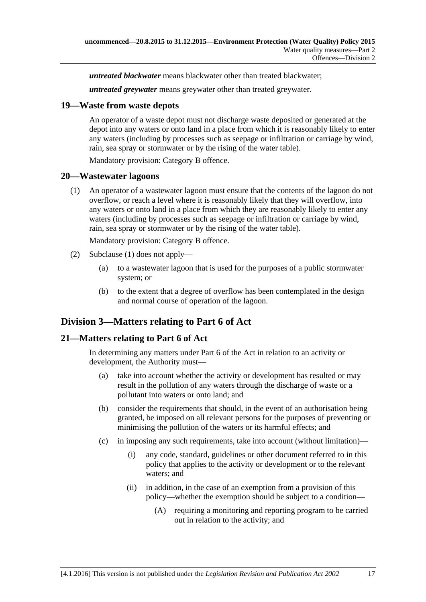*untreated blackwater* means blackwater other than treated blackwater;

*untreated greywater* means greywater other than treated greywater.

#### <span id="page-16-0"></span>**19—Waste from waste depots**

An operator of a waste depot must not discharge waste deposited or generated at the depot into any waters or onto land in a place from which it is reasonably likely to enter any waters (including by processes such as seepage or infiltration or carriage by wind, rain, sea spray or stormwater or by the rising of the water table).

Mandatory provision: Category B offence.

#### <span id="page-16-4"></span><span id="page-16-1"></span>**20—Wastewater lagoons**

(1) An operator of a wastewater lagoon must ensure that the contents of the lagoon do not overflow, or reach a level where it is reasonably likely that they will overflow, into any waters or onto land in a place from which they are reasonably likely to enter any waters (including by processes such as seepage or infiltration or carriage by wind, rain, sea spray or stormwater or by the rising of the water table).

Mandatory provision: Category B offence.

- (2) [Subclause](#page-16-4) (1) does not apply—
	- (a) to a wastewater lagoon that is used for the purposes of a public stormwater system; or
	- (b) to the extent that a degree of overflow has been contemplated in the design and normal course of operation of the lagoon.

## <span id="page-16-2"></span>**Division 3—Matters relating to Part 6 of Act**

### <span id="page-16-3"></span>**21—Matters relating to Part 6 of Act**

In determining any matters under Part 6 of the Act in relation to an activity or development, the Authority must—

- (a) take into account whether the activity or development has resulted or may result in the pollution of any waters through the discharge of waste or a pollutant into waters or onto land; and
- (b) consider the requirements that should, in the event of an authorisation being granted, be imposed on all relevant persons for the purposes of preventing or minimising the pollution of the waters or its harmful effects; and
- (c) in imposing any such requirements, take into account (without limitation)—
	- (i) any code, standard, guidelines or other document referred to in this policy that applies to the activity or development or to the relevant waters; and
	- (ii) in addition, in the case of an exemption from a provision of this policy—whether the exemption should be subject to a condition—
		- (A) requiring a monitoring and reporting program to be carried out in relation to the activity; and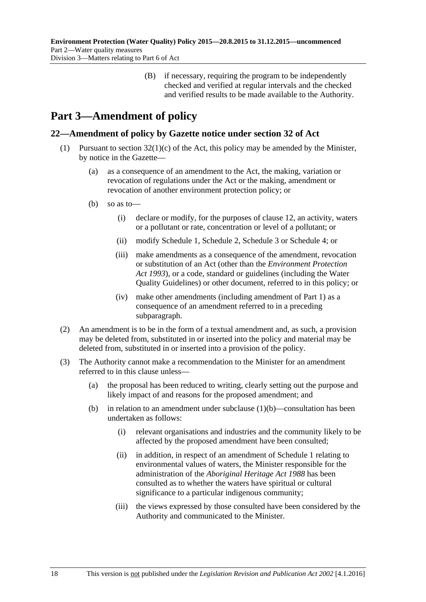(B) if necessary, requiring the program to be independently checked and verified at regular intervals and the checked and verified results to be made available to the Authority.

# <span id="page-17-0"></span>**Part 3—Amendment of policy**

## <span id="page-17-1"></span>**22—Amendment of policy by Gazette notice under section 32 of Act**

- <span id="page-17-2"></span>(1) Pursuant to section  $32(1)(c)$  of the Act, this policy may be amended by the Minister, by notice in the Gazette—
	- (a) as a consequence of an amendment to the Act, the making, variation or revocation of regulations under the Act or the making, amendment or revocation of another environment protection policy; or
	- (b) so as to—
		- (i) declare or modify, for the purposes of [clause](#page-10-0) 12, an activity, waters or a pollutant or rate, concentration or level of a pollutant; or
		- (ii) modify [Schedule](#page-18-0) 1, [Schedule](#page-19-0) 2, [Schedule](#page-20-0) 3 or [Schedule](#page-21-0) 4; or
		- (iii) make amendments as a consequence of the amendment, revocation or substitution of an Act (other than the *[Environment Protection](http://www.legislation.sa.gov.au/index.aspx?action=legref&type=act&legtitle=Environment%20Protection%20Act%201993)  Act [1993](http://www.legislation.sa.gov.au/index.aspx?action=legref&type=act&legtitle=Environment%20Protection%20Act%201993)*), or a code, standard or guidelines (including the Water Quality Guidelines) or other document, referred to in this policy; or
		- (iv) make other amendments (including amendment of [Part](#page-1-0) 1) as a consequence of an amendment referred to in a preceding subparagraph.
- (2) An amendment is to be in the form of a textual amendment and, as such, a provision may be deleted from, substituted in or inserted into the policy and material may be deleted from, substituted in or inserted into a provision of the policy.
- (3) The Authority cannot make a recommendation to the Minister for an amendment referred to in this clause unless—
	- (a) the proposal has been reduced to writing, clearly setting out the purpose and likely impact of and reasons for the proposed amendment; and
	- (b) in relation to an amendment under [subclause](#page-17-2)  $(1)(b)$ —consultation has been undertaken as follows:
		- (i) relevant organisations and industries and the community likely to be affected by the proposed amendment have been consulted;
		- (ii) in addition, in respect of an amendment of [Schedule](#page-18-0) 1 relating to environmental values of waters, the Minister responsible for the administration of the *[Aboriginal Heritage Act](http://www.legislation.sa.gov.au/index.aspx?action=legref&type=act&legtitle=Aboriginal%20Heritage%20Act%201988) 1988* has been consulted as to whether the waters have spiritual or cultural significance to a particular indigenous community;
		- (iii) the views expressed by those consulted have been considered by the Authority and communicated to the Minister.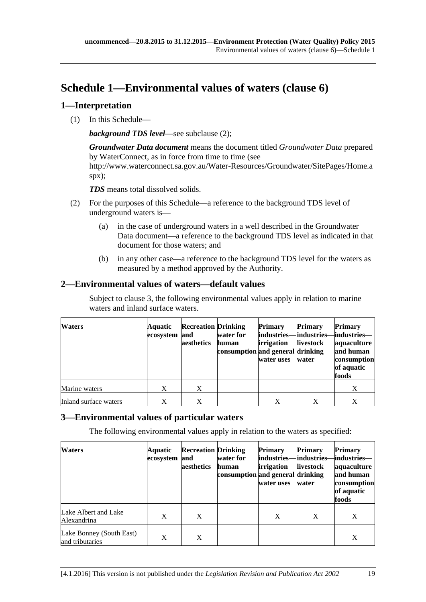# <span id="page-18-0"></span>**Schedule 1—Environmental values of waters [\(clause](#page-6-0) 6)**

## <span id="page-18-1"></span>**1—Interpretation**

(1) In this Schedule—

*background TDS level*—see [subclause](#page-18-4) (2);

*Groundwater Data document* means the document titled *Groundwater Data* prepared by WaterConnect, as in force from time to time (see http://www.waterconnect.sa.gov.au/Water-Resources/Groundwater/SitePages/Home.a spx);

*TDS* means total dissolved solids.

- <span id="page-18-4"></span>(2) For the purposes of this Schedule—a reference to the background TDS level of underground waters is—
	- (a) in the case of underground waters in a well described in the Groundwater Data document—a reference to the background TDS level as indicated in that document for those waters; and
	- (b) in any other case—a reference to the background TDS level for the waters as measured by a method approved by the Authority.

## <span id="page-18-2"></span>**2—Environmental values of waters—default values**

Subject to [clause](#page-18-3) 3, the following environmental values apply in relation to marine waters and inland surface waters.

| <b>Waters</b>         | Aquatic<br>ecosystem and | <b>Recreation Drinking</b><br>aesthetics | water for<br>human<br>consumption and general drinking | <b>Primary</b><br>industries-<br><i>irrigation</i><br>water uses | <b>Primary</b><br>-industries–<br>livestock<br>water | <b>Primary</b><br>–industries–<br>aquaculture<br>and human<br>consumption<br>of aquatic<br>foods |
|-----------------------|--------------------------|------------------------------------------|--------------------------------------------------------|------------------------------------------------------------------|------------------------------------------------------|--------------------------------------------------------------------------------------------------|
| Marine waters         | X                        | X                                        |                                                        |                                                                  |                                                      | X                                                                                                |
| Inland surface waters | X                        | X                                        |                                                        | X                                                                | X                                                    | X                                                                                                |

## <span id="page-18-3"></span>**3—Environmental values of particular waters**

The following environmental values apply in relation to the waters as specified:

| <b>Waters</b>                               | Aquatic<br>ecosystem | <b>Recreation Drinking</b><br>and<br>aesthetics | water for<br>human<br>consumption and general drinking | <b>Primary</b><br>industries—<br>irrigation<br>water uses | Primary<br>-lindustries–<br><b>livestock</b><br>water | <b>Primary</b><br>–industries–<br>aquaculture<br>and human<br>consumption<br>of aquatic<br>foods |
|---------------------------------------------|----------------------|-------------------------------------------------|--------------------------------------------------------|-----------------------------------------------------------|-------------------------------------------------------|--------------------------------------------------------------------------------------------------|
| Lake Albert and Lake<br>Alexandrina         | X                    | X                                               |                                                        | X                                                         | X                                                     | X                                                                                                |
| Lake Bonney (South East)<br>and tributaries | X                    | X                                               |                                                        |                                                           |                                                       | X                                                                                                |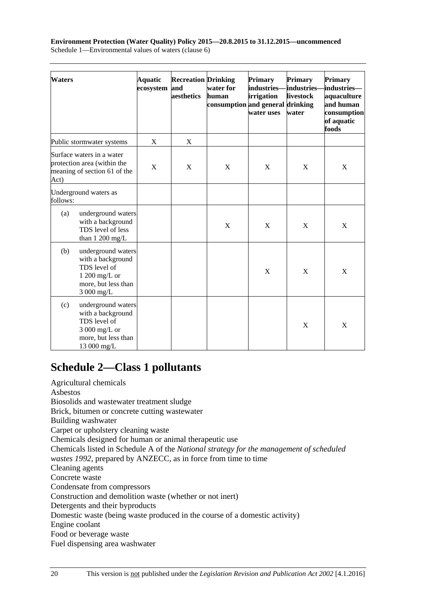**Environment Protection (Water Quality) Policy 2015—20.8.2015 to 31.12.2015—uncommenced** Schedule 1—Environmental values of waters (clause 6)

| <b>Waters</b> |                                                                                                                | <b>Aquatic</b><br>ecosystem | <b>Recreation Drinking</b><br>and<br>aesthetics | water for<br>human<br>consumption and general drinking | <b>Primary</b><br>industries-<br>irrigation<br>water uses | Primary<br>industries-<br>livestock<br>water | <b>Primary</b><br>industries-<br>aquaculture<br>and human<br>consumption<br>of aquatic<br>foods |
|---------------|----------------------------------------------------------------------------------------------------------------|-----------------------------|-------------------------------------------------|--------------------------------------------------------|-----------------------------------------------------------|----------------------------------------------|-------------------------------------------------------------------------------------------------|
|               | Public stormwater systems                                                                                      | X                           | X                                               |                                                        |                                                           |                                              |                                                                                                 |
| Act)          | Surface waters in a water<br>protection area (within the<br>meaning of section 61 of the                       | X                           | X                                               | X                                                      | X                                                         | X                                            | X                                                                                               |
| follows:      | Underground waters as                                                                                          |                             |                                                 |                                                        |                                                           |                                              |                                                                                                 |
| (a)           | underground waters<br>with a background<br>TDS level of less<br>than $1200$ mg/L                               |                             |                                                 | X                                                      | X                                                         | X                                            | X                                                                                               |
| (b)           | underground waters<br>with a background<br>TDS level of<br>$1200$ mg/L or<br>more, but less than<br>3 000 mg/L |                             |                                                 |                                                        | X                                                         | X                                            | X                                                                                               |
| (c)           | underground waters<br>with a background<br>TDS level of<br>3 000 mg/L or<br>more, but less than<br>13 000 mg/L |                             |                                                 |                                                        |                                                           | $\boldsymbol{\mathrm{X}}$                    | X                                                                                               |

## <span id="page-19-0"></span>**Schedule 2—Class 1 pollutants**

Agricultural chemicals Asbestos Biosolids and wastewater treatment sludge Brick, bitumen or concrete cutting wastewater Building washwater Carpet or upholstery cleaning waste Chemicals designed for human or animal therapeutic use Chemicals listed in Schedule A of the *National strategy for the management of scheduled wastes 1992*, prepared by ANZECC, as in force from time to time Cleaning agents Concrete waste Condensate from compressors Construction and demolition waste (whether or not inert) Detergents and their byproducts Domestic waste (being waste produced in the course of a domestic activity) Engine coolant Food or beverage waste Fuel dispensing area washwater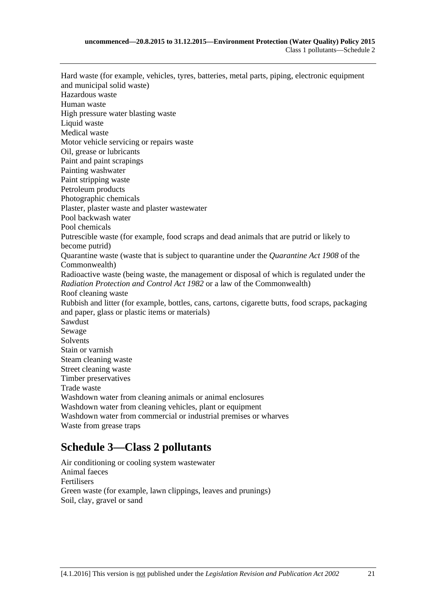Hard waste (for example, vehicles, tyres, batteries, metal parts, piping, electronic equipment and municipal solid waste) Hazardous waste Human waste High pressure water blasting waste Liquid waste Medical waste Motor vehicle servicing or repairs waste Oil, grease or lubricants Paint and paint scrapings Painting washwater Paint stripping waste Petroleum products Photographic chemicals Plaster, plaster waste and plaster wastewater Pool backwash water Pool chemicals Putrescible waste (for example, food scraps and dead animals that are putrid or likely to become putrid) Quarantine waste (waste that is subject to quarantine under the *Quarantine Act 1908* of the Commonwealth) Radioactive waste (being waste, the management or disposal of which is regulated under the *[Radiation Protection and Control Act](http://www.legislation.sa.gov.au/index.aspx?action=legref&type=act&legtitle=Radiation%20Protection%20and%20Control%20Act%201982) 1982* or a law of the Commonwealth) Roof cleaning waste Rubbish and litter (for example, bottles, cans, cartons, cigarette butts, food scraps, packaging and paper, glass or plastic items or materials) Sawdust Sewage Solvents Stain or varnish Steam cleaning waste Street cleaning waste Timber preservatives Trade waste Washdown water from cleaning animals or animal enclosures Washdown water from cleaning vehicles, plant or equipment Washdown water from commercial or industrial premises or wharves Waste from grease traps

## <span id="page-20-0"></span>**Schedule 3—Class 2 pollutants**

Air conditioning or cooling system wastewater Animal faeces Fertilisers Green waste (for example, lawn clippings, leaves and prunings) Soil, clay, gravel or sand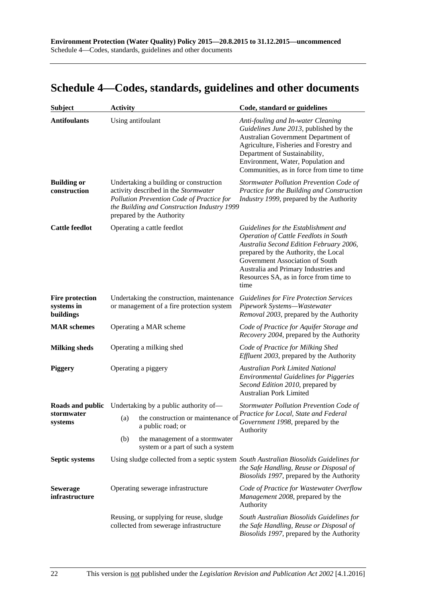# <span id="page-21-0"></span>**Schedule 4—Codes, standards, guidelines and other documents**

| <b>Subject</b>                                    | <b>Activity</b>                                                                        |                                                                                                                                                                                                         | Code, standard or guidelines                                                                                                                                                                                                                                                                         |  |  |
|---------------------------------------------------|----------------------------------------------------------------------------------------|---------------------------------------------------------------------------------------------------------------------------------------------------------------------------------------------------------|------------------------------------------------------------------------------------------------------------------------------------------------------------------------------------------------------------------------------------------------------------------------------------------------------|--|--|
| <b>Antifoulants</b>                               |                                                                                        | Using antifoulant                                                                                                                                                                                       | Anti-fouling and In-water Cleaning<br>Guidelines June 2013, published by the<br>Australian Government Department of<br>Agriculture, Fisheries and Forestry and<br>Department of Sustainability,<br>Environment, Water, Population and<br>Communities, as in force from time to time                  |  |  |
| <b>Building or</b><br>construction                |                                                                                        | Undertaking a building or construction<br>activity described in the Stormwater<br>Pollution Prevention Code of Practice for<br>the Building and Construction Industry 1999<br>prepared by the Authority | Stormwater Pollution Prevention Code of<br>Practice for the Building and Construction<br>Industry 1999, prepared by the Authority                                                                                                                                                                    |  |  |
| <b>Cattle feedlot</b>                             |                                                                                        | Operating a cattle feedlot                                                                                                                                                                              | Guidelines for the Establishment and<br><b>Operation of Cattle Feedlots in South</b><br>Australia Second Edition February 2006,<br>prepared by the Authority, the Local<br>Government Association of South<br>Australia and Primary Industries and<br>Resources SA, as in force from time to<br>time |  |  |
| <b>Fire protection</b><br>systems in<br>buildings | Undertaking the construction, maintenance<br>or management of a fire protection system |                                                                                                                                                                                                         | <b>Guidelines for Fire Protection Services</b><br>Pipework Systems-Wastewater<br>Removal 2003, prepared by the Authority                                                                                                                                                                             |  |  |
| <b>MAR</b> schemes                                | Operating a MAR scheme                                                                 |                                                                                                                                                                                                         | Code of Practice for Aquifer Storage and<br>Recovery 2004, prepared by the Authority                                                                                                                                                                                                                 |  |  |
| <b>Milking sheds</b>                              | Operating a milking shed                                                               |                                                                                                                                                                                                         | Code of Practice for Milking Shed<br>Effluent 2003, prepared by the Authority                                                                                                                                                                                                                        |  |  |
| <b>Piggery</b>                                    | Operating a piggery                                                                    |                                                                                                                                                                                                         | <b>Australian Pork Limited National</b><br><b>Environmental Guidelines for Piggeries</b><br>Second Edition 2010, prepared by<br><b>Australian Pork Limited</b>                                                                                                                                       |  |  |
| Roads and public                                  | Undertaking by a public authority of—                                                  |                                                                                                                                                                                                         | Stormwater Pollution Prevention Code of                                                                                                                                                                                                                                                              |  |  |
| stormwater<br>systems                             | (a)                                                                                    | the construction or maintenance of<br>a public road; or                                                                                                                                                 | Practice for Local, State and Federal<br>Government 1998, prepared by the<br>Authority                                                                                                                                                                                                               |  |  |
|                                                   | (b)                                                                                    | the management of a stormwater<br>system or a part of such a system                                                                                                                                     |                                                                                                                                                                                                                                                                                                      |  |  |
| <b>Septic systems</b>                             |                                                                                        |                                                                                                                                                                                                         | Using sludge collected from a septic system South Australian Biosolids Guidelines for<br>the Safe Handling, Reuse or Disposal of<br>Biosolids 1997, prepared by the Authority                                                                                                                        |  |  |
| <b>Sewerage</b><br>infrastructure                 |                                                                                        | Operating sewerage infrastructure                                                                                                                                                                       | Code of Practice for Wastewater Overflow<br>Management 2008, prepared by the<br>Authority                                                                                                                                                                                                            |  |  |
|                                                   |                                                                                        | Reusing, or supplying for reuse, sludge<br>collected from sewerage infrastructure                                                                                                                       | South Australian Biosolids Guidelines for<br>the Safe Handling, Reuse or Disposal of<br>Biosolids 1997, prepared by the Authority                                                                                                                                                                    |  |  |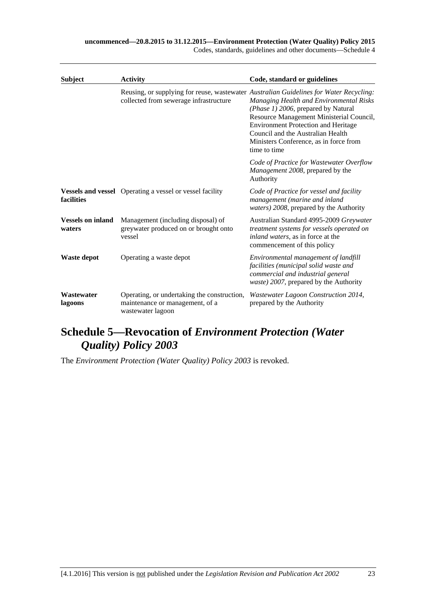#### **uncommenced—20.8.2015 to 31.12.2015—Environment Protection (Water Quality) Policy 2015**

Codes, standards, guidelines and other documents—Schedule 4

| <b>Subject</b>                     | <b>Activity</b>                                                                                     | Code, standard or guidelines                                                                                                                                                                                                                                                                                                                                      |  |
|------------------------------------|-----------------------------------------------------------------------------------------------------|-------------------------------------------------------------------------------------------------------------------------------------------------------------------------------------------------------------------------------------------------------------------------------------------------------------------------------------------------------------------|--|
|                                    | collected from sewerage infrastructure                                                              | Reusing, or supplying for reuse, wastewater Australian Guidelines for Water Recycling:<br>Managing Health and Environmental Risks<br>(Phase 1) 2006, prepared by Natural<br>Resource Management Ministerial Council,<br><b>Environment Protection and Heritage</b><br>Council and the Australian Health<br>Ministers Conference, as in force from<br>time to time |  |
|                                    |                                                                                                     | Code of Practice for Wastewater Overflow<br>Management 2008, prepared by the<br>Authority                                                                                                                                                                                                                                                                         |  |
| facilities                         | <b>Vessels and vessel</b> Operating a vessel or vessel facility                                     | Code of Practice for vessel and facility<br>management (marine and inland<br>waters) 2008, prepared by the Authority                                                                                                                                                                                                                                              |  |
| <b>Vessels on inland</b><br>waters | Management (including disposal) of<br>greywater produced on or brought onto<br>vessel               | Australian Standard 4995-2009 Greywater<br>treatment systems for vessels operated on<br>inland waters, as in force at the<br>commencement of this policy                                                                                                                                                                                                          |  |
| Waste depot                        | Operating a waste depot                                                                             | Environmental management of landfill<br>facilities (municipal solid waste and<br>commercial and industrial general<br>waste) 2007, prepared by the Authority                                                                                                                                                                                                      |  |
| Wastewater<br>lagoons              | Operating, or undertaking the construction,<br>maintenance or management, of a<br>wastewater lagoon | Wastewater Lagoon Construction 2014,<br>prepared by the Authority                                                                                                                                                                                                                                                                                                 |  |

# <span id="page-22-0"></span>**Schedule 5—Revocation of** *Environment Protection (Water Quality) Policy 2003*

The *[Environment Protection \(Water Quality\) Policy](http://www.legislation.sa.gov.au/index.aspx?action=legref&type=subordleg&legtitle=Environment%20Protection%20(Water%20Quality)%20Policy%202003) 2003* is revoked.